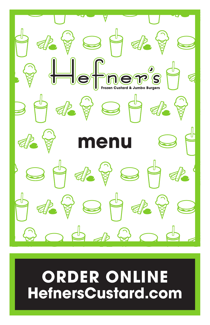

# **ORDER ONLINE HefnersCustard.com**